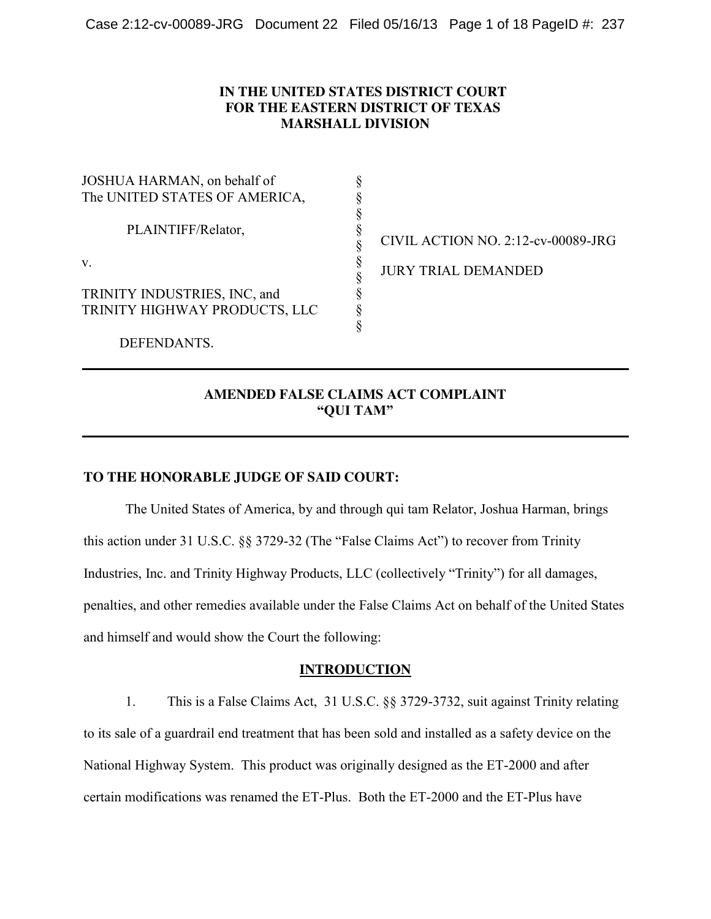## **IN THE UNITED STATES DISTRICT COURT FOR THE EASTERN DISTRICT OF TEXAS MARSHALL DIVISION**

| JOSHUA HARMAN, on behalf of   |                                    |
|-------------------------------|------------------------------------|
| The UNITED STATES OF AMERICA, |                                    |
| PLAINTIFF/Relator,            | CIVIL ACTION NO. 2:12-cv-00089-JRG |
| V.                            | <b>JURY TRIAL DEMANDED</b>         |
| TRINITY INDUSTRIES, INC, and  |                                    |
| TRINITY HIGHWAY PRODUCTS, LLC |                                    |
|                               |                                    |
| DEFENDANTS.                   |                                    |

# **AMENDED FALSE CLAIMS ACT COMPLAINT "QUI TAM"**

## **TO THE HONORABLE JUDGE OF SAID COURT:**

The United States of America, by and through qui tam Relator, Joshua Harman, brings this action under 31 U.S.C. §§ 3729-32 (The "False Claims Act") to recover from Trinity Industries, Inc. and Trinity Highway Products, LLC (collectively "Trinity") for all damages, penalties, and other remedies available under the False Claims Act on behalf of the United States and himself and would show the Court the following:

## **INTRODUCTION**

1. This is a False Claims Act, 31 U.S.C. §§ 3729-3732, suit against Trinity relating to its sale of a guardrail end treatment that has been sold and installed as a safety device on the National Highway System. This product was originally designed as the ET-2000 and after certain modifications was renamed the ET-Plus. Both the ET-2000 and the ET-Plus have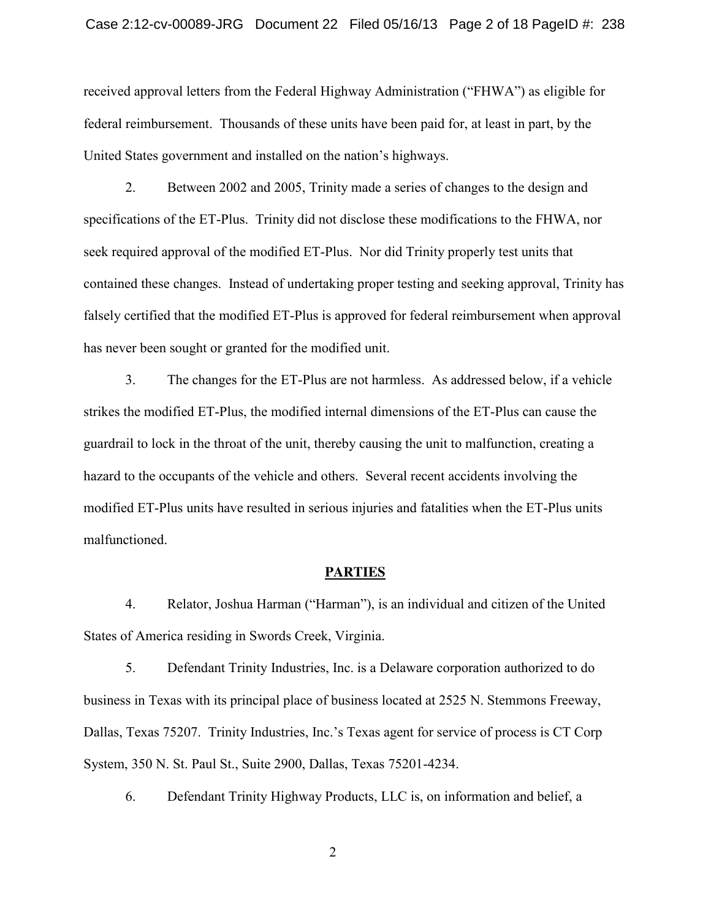received approval letters from the Federal Highway Administration ("FHWA") as eligible for federal reimbursement. Thousands of these units have been paid for, at least in part, by the United States government and installed on the nation's highways.

2. Between 2002 and 2005, Trinity made a series of changes to the design and specifications of the ET-Plus. Trinity did not disclose these modifications to the FHWA, nor seek required approval of the modified ET-Plus. Nor did Trinity properly test units that contained these changes. Instead of undertaking proper testing and seeking approval, Trinity has falsely certified that the modified ET-Plus is approved for federal reimbursement when approval has never been sought or granted for the modified unit.

3. The changes for the ET-Plus are not harmless. As addressed below, if a vehicle strikes the modified ET-Plus, the modified internal dimensions of the ET-Plus can cause the guardrail to lock in the throat of the unit, thereby causing the unit to malfunction, creating a hazard to the occupants of the vehicle and others. Several recent accidents involving the modified ET-Plus units have resulted in serious injuries and fatalities when the ET-Plus units malfunctioned.

#### **PARTIES**

4. Relator, Joshua Harman ("Harman"), is an individual and citizen of the United States of America residing in Swords Creek, Virginia.

5. Defendant Trinity Industries, Inc. is a Delaware corporation authorized to do business in Texas with its principal place of business located at 2525 N. Stemmons Freeway, Dallas, Texas 75207. Trinity Industries, Inc.'s Texas agent for service of process is CT Corp System, 350 N. St. Paul St., Suite 2900, Dallas, Texas 75201-4234.

6. Defendant Trinity Highway Products, LLC is, on information and belief, a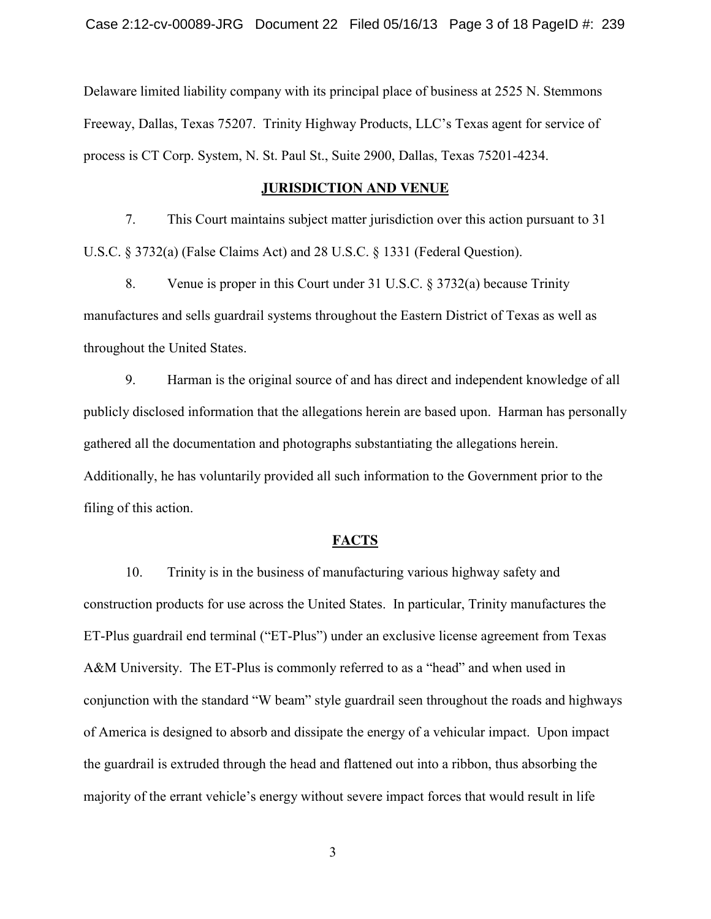Delaware limited liability company with its principal place of business at 2525 N. Stemmons Freeway, Dallas, Texas 75207. Trinity Highway Products, LLC's Texas agent for service of process is CT Corp. System, N. St. Paul St., Suite 2900, Dallas, Texas 75201-4234.

### **JURISDICTION AND VENUE**

7. This Court maintains subject matter jurisdiction over this action pursuant to 31 U.S.C. § 3732(a) (False Claims Act) and 28 U.S.C. § 1331 (Federal Question).

8. Venue is proper in this Court under 31 U.S.C. § 3732(a) because Trinity manufactures and sells guardrail systems throughout the Eastern District of Texas as well as throughout the United States.

9. Harman is the original source of and has direct and independent knowledge of all publicly disclosed information that the allegations herein are based upon. Harman has personally gathered all the documentation and photographs substantiating the allegations herein. Additionally, he has voluntarily provided all such information to the Government prior to the filing of this action.

#### **FACTS**

10. Trinity is in the business of manufacturing various highway safety and construction products for use across the United States. In particular, Trinity manufactures the ET-Plus guardrail end terminal ("ET-Plus") under an exclusive license agreement from Texas A&M University. The ET-Plus is commonly referred to as a "head" and when used in conjunction with the standard "W beam" style guardrail seen throughout the roads and highways of America is designed to absorb and dissipate the energy of a vehicular impact. Upon impact the guardrail is extruded through the head and flattened out into a ribbon, thus absorbing the majority of the errant vehicle's energy without severe impact forces that would result in life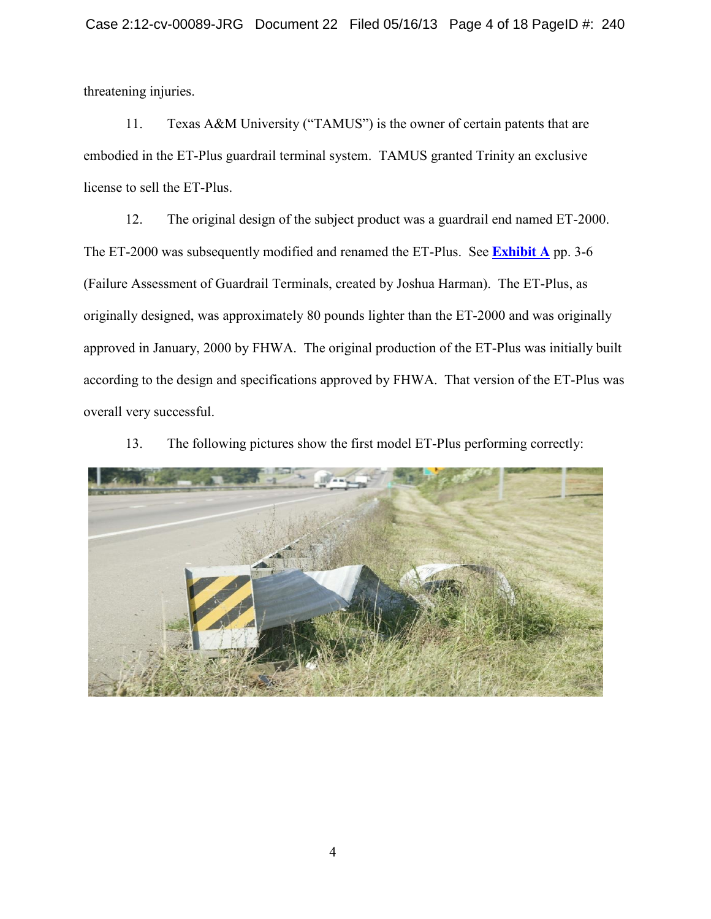threatening injuries.

11. Texas A&M University ("TAMUS") is the owner of certain patents that are embodied in the ET-Plus guardrail terminal system. TAMUS granted Trinity an exclusive license to sell the ET-Plus.

12. The original design of the subject product was a guardrail end named ET-2000. The ET-2000 was subsequently modified and renamed the ET-Plus. See **Exhibit A** pp. 3-6 (Failure Assessment of Guardrail Terminals, created by Joshua Harman). The ET-Plus, as originally designed, was approximately 80 pounds lighter than the ET-2000 and was originally approved in January, 2000 by FHWA. The original production of the ET-Plus was initially built according to the design and specifications approved by FHWA. That version of the ET-Plus was overall very successful.

13. The following pictures show the first model ET-Plus performing correctly:

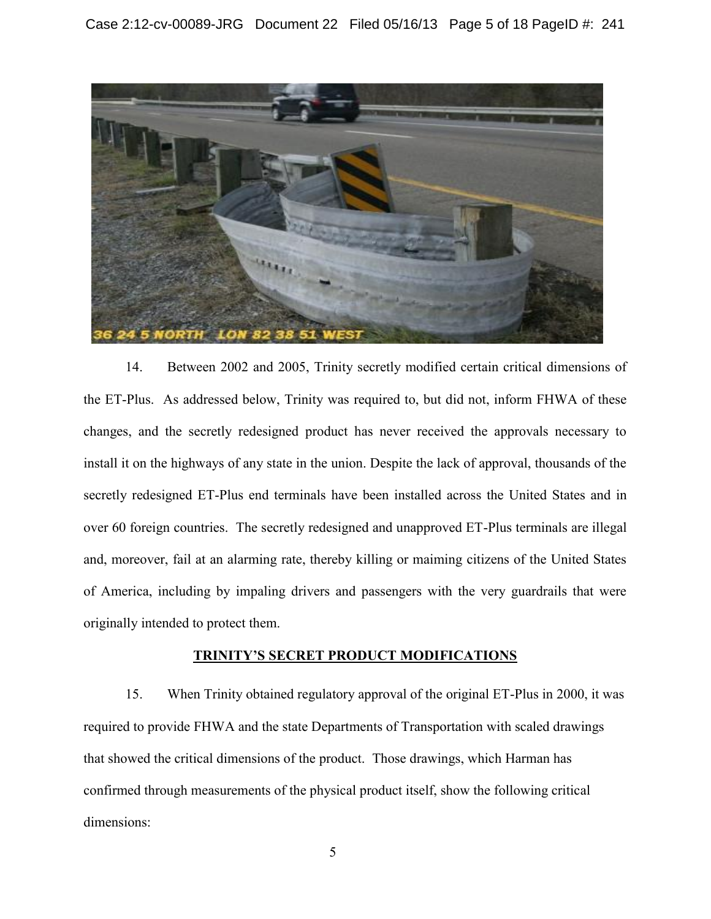

14. Between 2002 and 2005, Trinity secretly modified certain critical dimensions of the ET-Plus. As addressed below, Trinity was required to, but did not, inform FHWA of these changes, and the secretly redesigned product has never received the approvals necessary to install it on the highways of any state in the union. Despite the lack of approval, thousands of the secretly redesigned ET-Plus end terminals have been installed across the United States and in over 60 foreign countries. The secretly redesigned and unapproved ET-Plus terminals are illegal and, moreover, fail at an alarming rate, thereby killing or maiming citizens of the United States of America, including by impaling drivers and passengers with the very guardrails that were originally intended to protect them.

## **TRINITY'S SECRET PRODUCT MODIFICATIONS**

15. When Trinity obtained regulatory approval of the original ET-Plus in 2000, it was required to provide FHWA and the state Departments of Transportation with scaled drawings that showed the critical dimensions of the product. Those drawings, which Harman has confirmed through measurements of the physical product itself, show the following critical dimensions:

 $\sim$  5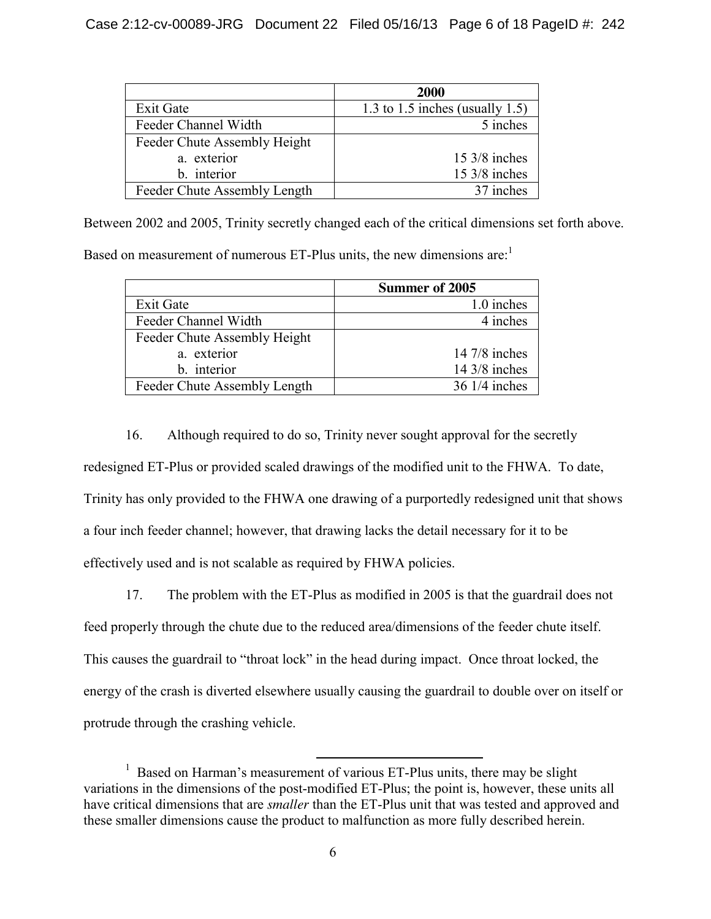|                              | 2000                            |  |
|------------------------------|---------------------------------|--|
| <b>Exit Gate</b>             | 1.3 to 1.5 inches (usually 1.5) |  |
| Feeder Channel Width         | 5 inches                        |  |
| Feeder Chute Assembly Height |                                 |  |
| a. exterior                  | $15 \frac{3}{8}$ inches         |  |
| b. interior                  | $15 \frac{3}{8}$ inches         |  |
| Feeder Chute Assembly Length | 37 inches                       |  |

Between 2002 and 2005, Trinity secretly changed each of the critical dimensions set forth above.

Based on measurement of numerous ET-Plus units, the new dimensions are: $<sup>1</sup>$ </sup>

|                              | <b>Summer of 2005</b>  |  |
|------------------------------|------------------------|--|
| <b>Exit Gate</b>             | 1.0 inches             |  |
| Feeder Channel Width         | 4 inches               |  |
| Feeder Chute Assembly Height |                        |  |
| a. exterior                  | 14 $7/8$ inches        |  |
| b. interior                  | $14\frac{3}{8}$ inches |  |
| Feeder Chute Assembly Length | 36 1/4 inches          |  |

16. Although required to do so, Trinity never sought approval for the secretly redesigned ET-Plus or provided scaled drawings of the modified unit to the FHWA. To date, Trinity has only provided to the FHWA one drawing of a purportedly redesigned unit that shows a four inch feeder channel; however, that drawing lacks the detail necessary for it to be effectively used and is not scalable as required by FHWA policies.

17. The problem with the ET-Plus as modified in 2005 is that the guardrail does not feed properly through the chute due to the reduced area/dimensions of the feeder chute itself. This causes the guardrail to "throat lock" in the head during impact. Once throat locked, the energy of the crash is diverted elsewhere usually causing the guardrail to double over on itself or protrude through the crashing vehicle.

<sup>&</sup>lt;sup>1</sup> Based on Harman's measurement of various ET-Plus units, there may be slight variations in the dimensions of the post-modified ET-Plus; the point is, however, these units all have critical dimensions that are *smaller* than the ET-Plus unit that was tested and approved and these smaller dimensions cause the product to malfunction as more fully described herein.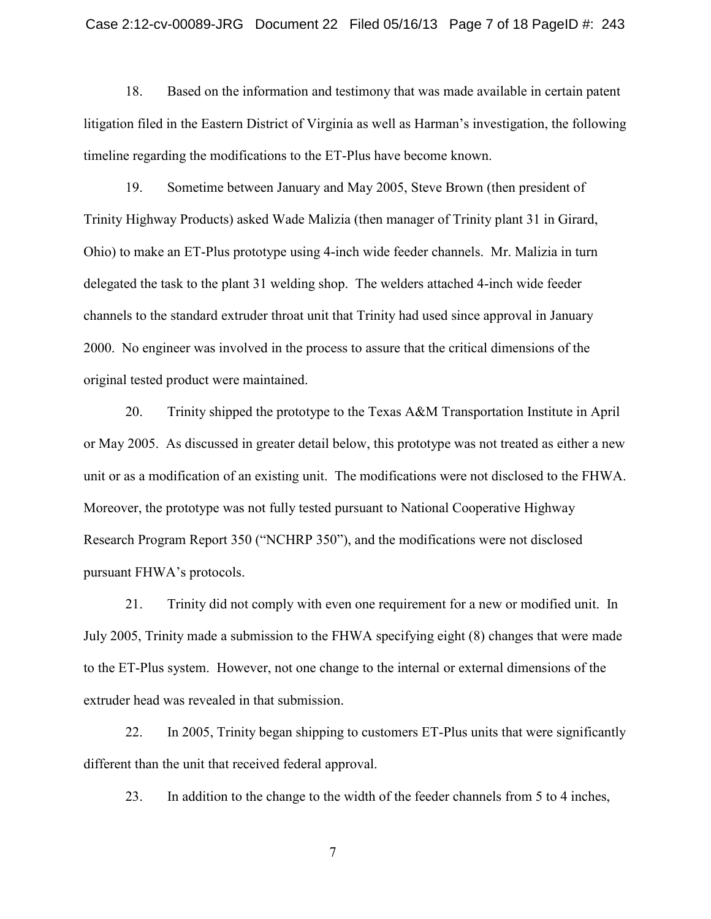### Case 2:12-cv-00089-JRG Document 22 Filed 05/16/13 Page 7 of 18 PageID #: 243

18. Based on the information and testimony that was made available in certain patent litigation filed in the Eastern District of Virginia as well as Harman's investigation, the following timeline regarding the modifications to the ET-Plus have become known.

19. Sometime between January and May 2005, Steve Brown (then president of Trinity Highway Products) asked Wade Malizia (then manager of Trinity plant 31 in Girard, Ohio) to make an ET-Plus prototype using 4-inch wide feeder channels. Mr. Malizia in turn delegated the task to the plant 31 welding shop. The welders attached 4-inch wide feeder channels to the standard extruder throat unit that Trinity had used since approval in January 2000. No engineer was involved in the process to assure that the critical dimensions of the original tested product were maintained.

20. Trinity shipped the prototype to the Texas A&M Transportation Institute in April or May 2005. As discussed in greater detail below, this prototype was not treated as either a new unit or as a modification of an existing unit. The modifications were not disclosed to the FHWA. Moreover, the prototype was not fully tested pursuant to National Cooperative Highway Research Program Report 350 ("NCHRP 350"), and the modifications were not disclosed pursuant FHWA's protocols.

21. Trinity did not comply with even one requirement for a new or modified unit. In July 2005, Trinity made a submission to the FHWA specifying eight (8) changes that were made to the ET-Plus system. However, not one change to the internal or external dimensions of the extruder head was revealed in that submission.

22. In 2005, Trinity began shipping to customers ET-Plus units that were significantly different than the unit that received federal approval.

23. In addition to the change to the width of the feeder channels from 5 to 4 inches,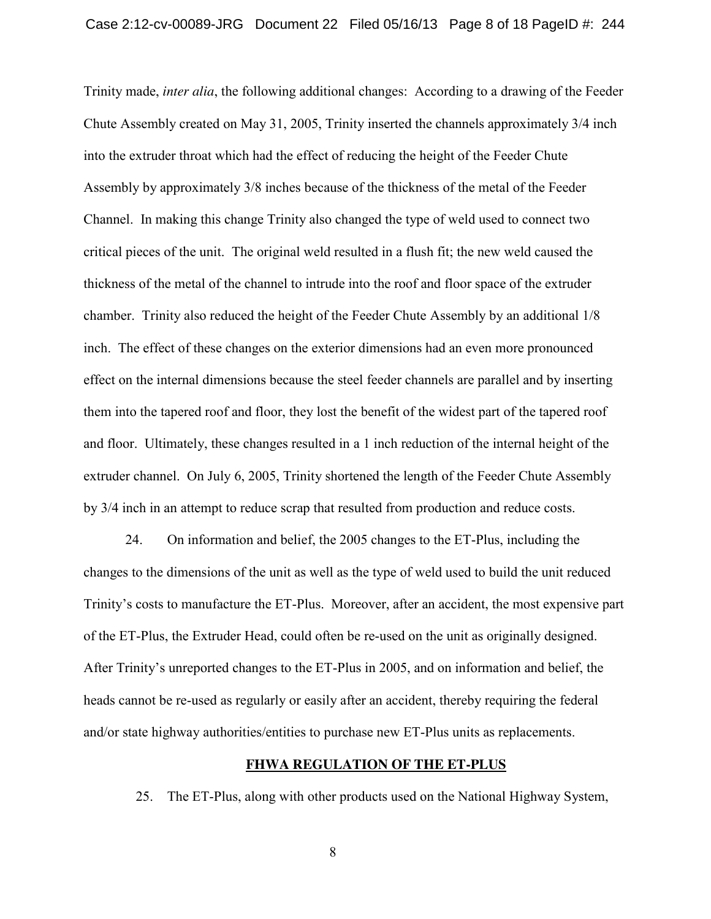Trinity made, *inter alia*, the following additional changes: According to a drawing of the Feeder Chute Assembly created on May 31, 2005, Trinity inserted the channels approximately 3/4 inch into the extruder throat which had the effect of reducing the height of the Feeder Chute Assembly by approximately 3/8 inches because of the thickness of the metal of the Feeder Channel. In making this change Trinity also changed the type of weld used to connect two critical pieces of the unit. The original weld resulted in a flush fit; the new weld caused the thickness of the metal of the channel to intrude into the roof and floor space of the extruder chamber. Trinity also reduced the height of the Feeder Chute Assembly by an additional 1/8 inch. The effect of these changes on the exterior dimensions had an even more pronounced effect on the internal dimensions because the steel feeder channels are parallel and by inserting them into the tapered roof and floor, they lost the benefit of the widest part of the tapered roof and floor. Ultimately, these changes resulted in a 1 inch reduction of the internal height of the extruder channel. On July 6, 2005, Trinity shortened the length of the Feeder Chute Assembly by 3/4 inch in an attempt to reduce scrap that resulted from production and reduce costs.

24. On information and belief, the 2005 changes to the ET-Plus, including the changes to the dimensions of the unit as well as the type of weld used to build the unit reduced Trinity's costs to manufacture the ET-Plus. Moreover, after an accident, the most expensive part of the ET-Plus, the Extruder Head, could often be re-used on the unit as originally designed. After Trinity's unreported changes to the ET-Plus in 2005, and on information and belief, the heads cannot be re-used as regularly or easily after an accident, thereby requiring the federal and/or state highway authorities/entities to purchase new ET-Plus units as replacements.

### **FHWA REGULATION OF THE ET-PLUS**

25. The ET-Plus, along with other products used on the National Highway System,

8 and 20 and 20 and 20 and 20 and 20 and 20 and 20 and 20 and 20 and 20 and 20 and 20 and 20 and 20 and 20 and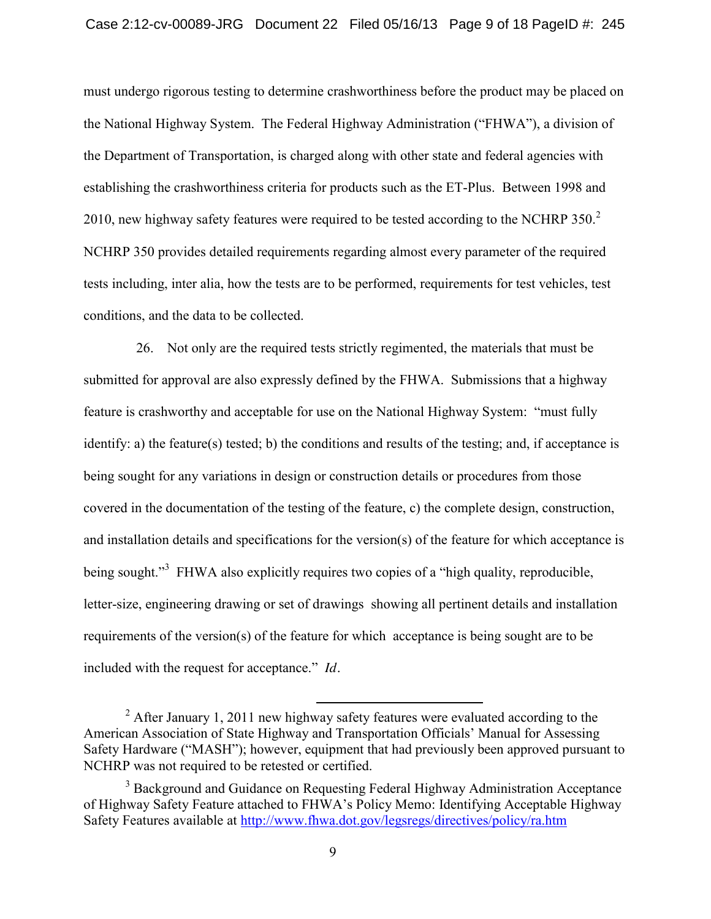must undergo rigorous testing to determine crashworthiness before the product may be placed on the National Highway System. The Federal Highway Administration ("FHWA"), a division of the Department of Transportation, is charged along with other state and federal agencies with establishing the crashworthiness criteria for products such as the ET-Plus. Between 1998 and 2010, new highway safety features were required to be tested according to the NCHRP 350. $2$ NCHRP 350 provides detailed requirements regarding almost every parameter of the required tests including, inter alia, how the tests are to be performed, requirements for test vehicles, test conditions, and the data to be collected.

26. Not only are the required tests strictly regimented, the materials that must be submitted for approval are also expressly defined by the FHWA. Submissions that a highway feature is crashworthy and acceptable for use on the National Highway System: "must fully identify: a) the feature(s) tested; b) the conditions and results of the testing; and, if acceptance is being sought for any variations in design or construction details or procedures from those covered in the documentation of the testing of the feature, c) the complete design, construction, and installation details and specifications for the version(s) of the feature for which acceptance is being sought."<sup>3</sup> FHWA also explicitly requires two copies of a "high quality, reproducible, letter-size, engineering drawing or set of drawings showing all pertinent details and installation requirements of the version(s) of the feature for which acceptance is being sought are to be included with the request for acceptance." *Id.*

<sup>&</sup>lt;sup>2</sup> After January 1, 2011 new highway safety features were evaluated according to the American Association of State Highway and Transportation Officials' Manual for Assessing Safety Hardware ("MASH"); however, equipment that had previously been approved pursuant to NCHRP was not required to be retested or certified.

<sup>&</sup>lt;sup>3</sup> Background and Guidance on Requesting Federal Highway Administration Acceptance of Highway Safety Feature attached to FHWA's Policy Memo: Identifying Acceptable Highway Safety Features available at http://www.fhwa.dot.gov/legsregs/directives/policy/ra.htm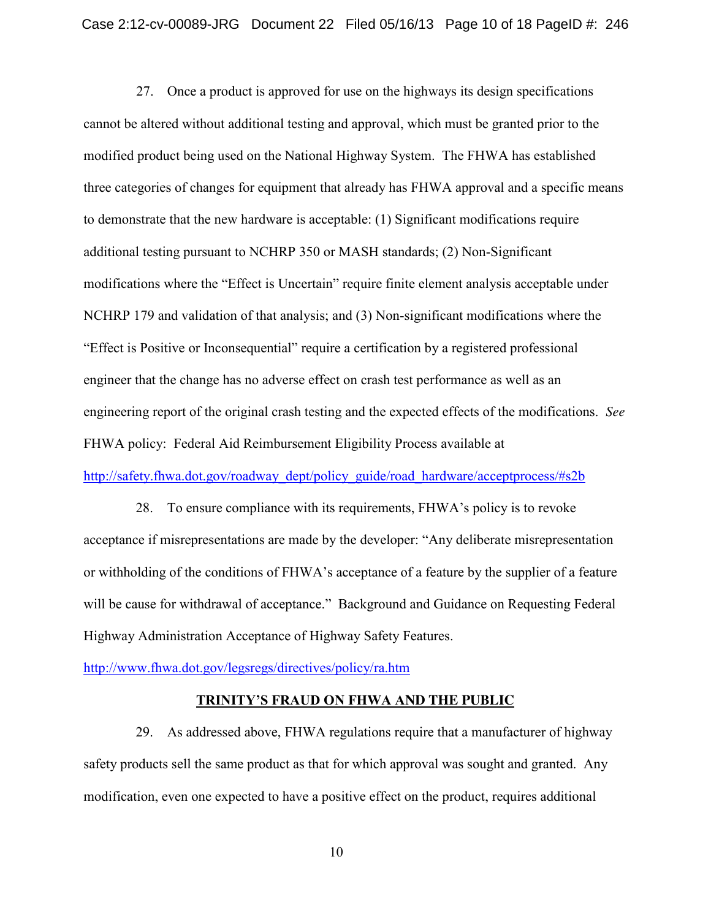27. Once a product is approved for use on the highways its design specifications cannot be altered without additional testing and approval, which must be granted prior to the modified product being used on the National Highway System. The FHWA has established three categories of changes for equipment that already has FHWA approval and a specific means to demonstrate that the new hardware is acceptable: (1) Significant modifications require additional testing pursuant to NCHRP 350 or MASH standards; (2) Non-Significant modifications where the "Effect is Uncertain" require finite element analysis acceptable under NCHRP 179 and validation of that analysis; and (3) Non-significant modifications where the "Effect is Positive or Inconsequential" require a certification by a registered professional engineer that the change has no adverse effect on crash test performance as well as an engineering report of the original crash testing and the expected effects of the modifications. *See* FHWA policy: Federal Aid Reimbursement Eligibility Process available at

http://safety.fhwa.dot.gov/roadway\_dept/policy\_guide/road\_hardware/acceptprocess/#s2b

28. To ensure compliance with its requirements, FHWA's policy is to revoke acceptance if misrepresentations are made by the developer: "Any deliberate misrepresentation or withholding of the conditions of FHWA's acceptance of a feature by the supplier of a feature will be cause for withdrawal of acceptance." Background and Guidance on Requesting Federal Highway Administration Acceptance of Highway Safety Features.

http://www.fhwa.dot.gov/legsregs/directives/policy/ra.htm

## **TRINITY'S FRAUD ON FHWA AND THE PUBLIC**

29. As addressed above, FHWA regulations require that a manufacturer of highway safety products sell the same product as that for which approval was sought and granted. Any modification, even one expected to have a positive effect on the product, requires additional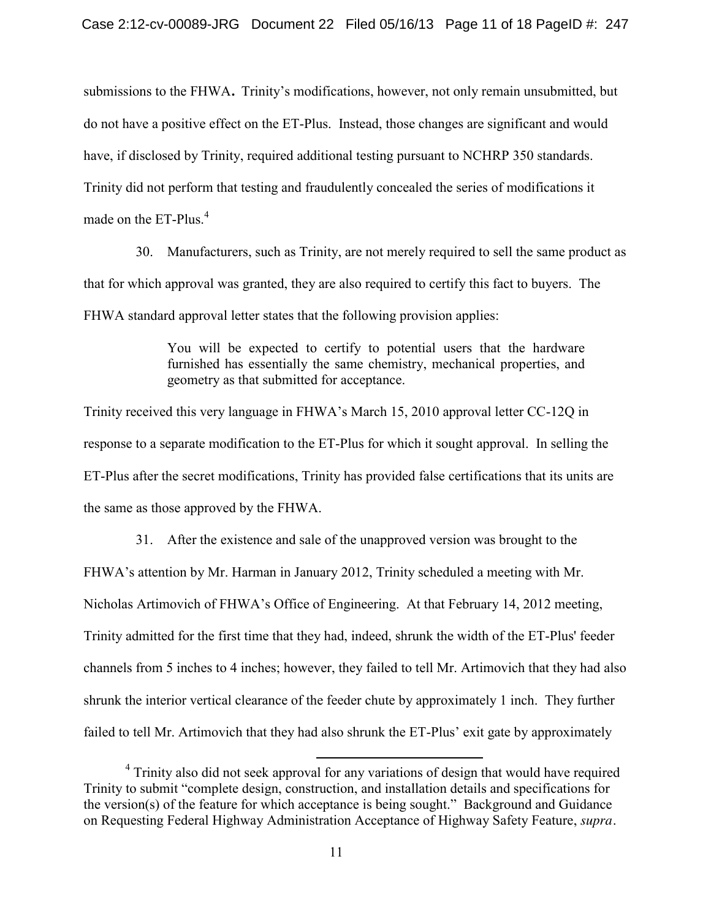submissions to the FHWA**.** Trinity's modifications, however, not only remain unsubmitted, but do not have a positive effect on the ET-Plus. Instead, those changes are significant and would have, if disclosed by Trinity, required additional testing pursuant to NCHRP 350 standards. Trinity did not perform that testing and fraudulently concealed the series of modifications it made on the ET-Plus.<sup>4</sup>

30. Manufacturers, such as Trinity, are not merely required to sell the same product as that for which approval was granted, they are also required to certify this fact to buyers. The FHWA standard approval letter states that the following provision applies:

> You will be expected to certify to potential users that the hardware furnished has essentially the same chemistry, mechanical properties, and geometry as that submitted for acceptance.

Trinity received this very language in FHWA's March 15, 2010 approval letter CC-12Q in response to a separate modification to the ET-Plus for which it sought approval. In selling the ET-Plus after the secret modifications, Trinity has provided false certifications that its units are the same as those approved by the FHWA.

31. After the existence and sale of the unapproved version was brought to the FHWA's attention by Mr. Harman in January 2012, Trinity scheduled a meeting with Mr. Nicholas Artimovich of FHWA's Office of Engineering. At that February 14, 2012 meeting, Trinity admitted for the first time that they had, indeed, shrunk the width of the ET-Plus' feeder channels from 5 inches to 4 inches; however, they failed to tell Mr. Artimovich that they had also shrunk the interior vertical clearance of the feeder chute by approximately 1 inch. They further failed to tell Mr. Artimovich that they had also shrunk the ET-Plus' exit gate by approximately

<sup>&</sup>lt;sup>4</sup> Trinity also did not seek approval for any variations of design that would have required Trinity to submit "complete design, construction, and installation details and specifications for the version(s) of the feature for which acceptance is being sought." Background and Guidance on Requesting Federal Highway Administration Acceptance of Highway Safety Feature, *supra.*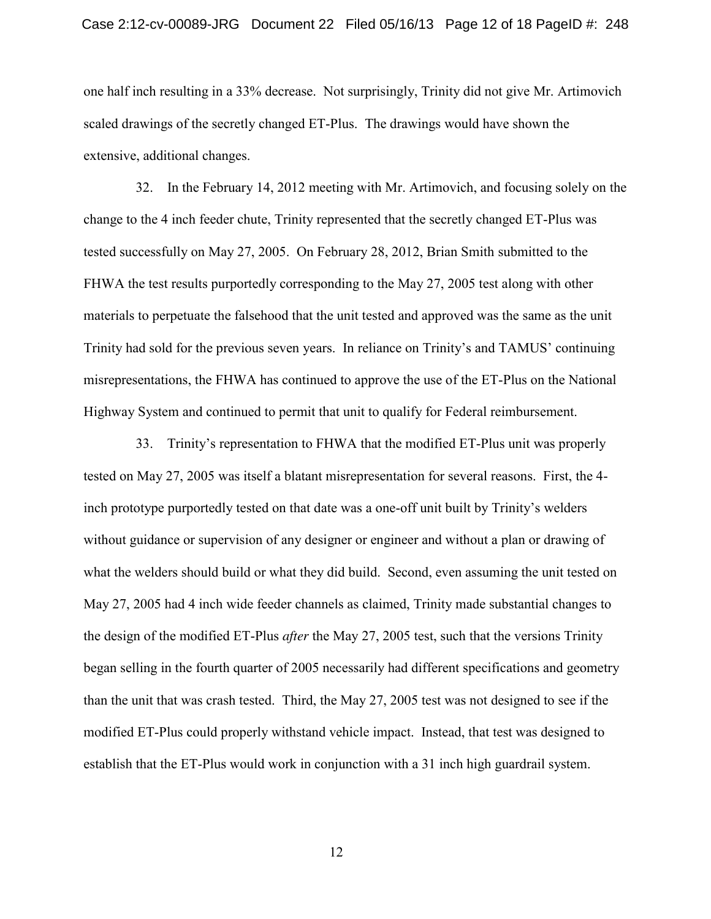one half inch resulting in a 33% decrease. Not surprisingly, Trinity did not give Mr. Artimovich scaled drawings of the secretly changed ET-Plus. The drawings would have shown the extensive, additional changes.

32. In the February 14, 2012 meeting with Mr. Artimovich, and focusing solely on the change to the 4 inch feeder chute, Trinity represented that the secretly changed ET-Plus was tested successfully on May 27, 2005. On February 28, 2012, Brian Smith submitted to the FHWA the test results purportedly corresponding to the May 27, 2005 test along with other materials to perpetuate the falsehood that the unit tested and approved was the same as the unit Trinity had sold for the previous seven years. In reliance on Trinity's and TAMUS' continuing misrepresentations, the FHWA has continued to approve the use of the ET-Plus on the National Highway System and continued to permit that unit to qualify for Federal reimbursement.

33. Trinity's representation to FHWA that the modified ET-Plus unit was properly tested on May 27, 2005 was itself a blatant misrepresentation for several reasons. First, the 4 inch prototype purportedly tested on that date was a one-off unit built by Trinity's welders without guidance or supervision of any designer or engineer and without a plan or drawing of what the welders should build or what they did build. Second, even assuming the unit tested on May 27, 2005 had 4 inch wide feeder channels as claimed, Trinity made substantial changes to the design of the modified ET-Plus *after* the May 27, 2005 test, such that the versions Trinity began selling in the fourth quarter of 2005 necessarily had different specifications and geometry than the unit that was crash tested. Third, the May 27, 2005 test was not designed to see if the modified ET-Plus could properly withstand vehicle impact. Instead, that test was designed to establish that the ET-Plus would work in conjunction with a 31 inch high guardrail system.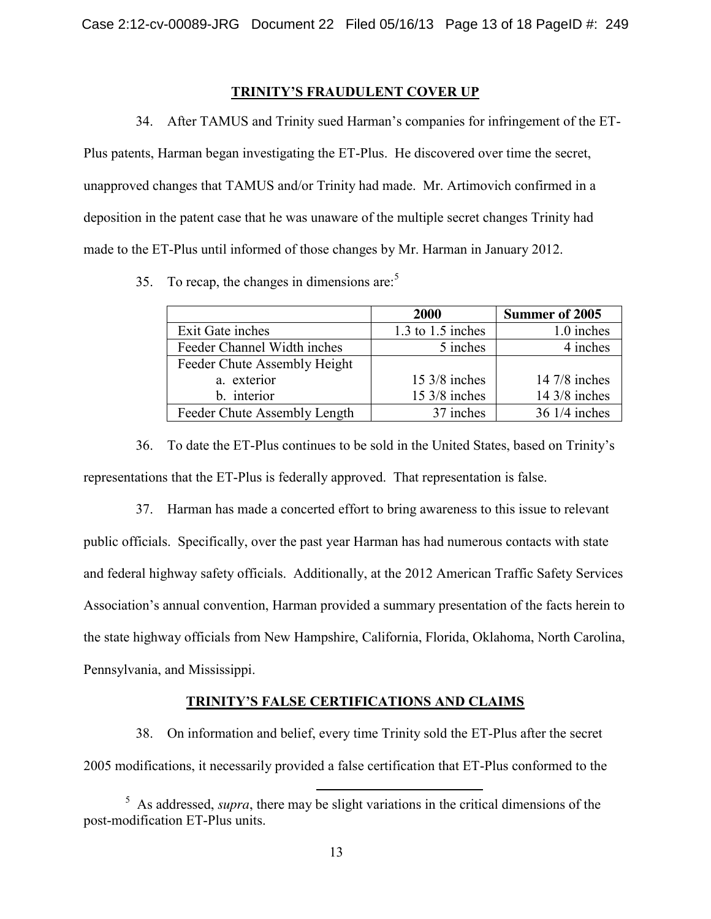## **TRINITY'S FRAUDULENT COVER UP**

34. After TAMUS and Trinity sued Harman's companies for infringement of the ET-

Plus patents, Harman began investigating the ET-Plus. He discovered over time the secret, unapproved changes that TAMUS and/or Trinity had made. Mr. Artimovich confirmed in a deposition in the patent case that he was unaware of the multiple secret changes Trinity had made to the ET-Plus until informed of those changes by Mr. Harman in January 2012.

35. To recap, the changes in dimensions are: $5$ 

|                              | 2000                    | <b>Summer of 2005</b>   |
|------------------------------|-------------------------|-------------------------|
| Exit Gate inches             | $1.3$ to $1.5$ inches   | 1.0 inches              |
| Feeder Channel Width inches  | 5 inches                | 4 inches                |
| Feeder Chute Assembly Height |                         |                         |
| a. exterior                  | $15 \frac{3}{8}$ inches | 14 $7/8$ inches         |
| b. interior                  | $15 \frac{3}{8}$ inches | $14 \frac{3}{8}$ inches |
| Feeder Chute Assembly Length | 37 inches               | 36 1/4 inches           |

36. To date the ET-Plus continues to be sold in the United States, based on Trinity's representations that the ET-Plus is federally approved. That representation is false.

37. Harman has made a concerted effort to bring awareness to this issue to relevant public officials. Specifically, over the past year Harman has had numerous contacts with state and federal highway safety officials. Additionally, at the 2012 American Traffic Safety Services Association's annual convention, Harman provided a summary presentation of the facts herein to the state highway officials from New Hampshire, California, Florida, Oklahoma, North Carolina, Pennsylvania, and Mississippi.

## **TRINITY'S FALSE CERTIFICATIONS AND CLAIMS**

38. On information and belief, every time Trinity sold the ET-Plus after the secret 2005 modifications, it necessarily provided a false certification that ET-Plus conformed to the

<sup>&</sup>lt;sup>5</sup> As addressed, *supra*, there may be slight variations in the critical dimensions of the post-modification ET-Plus units.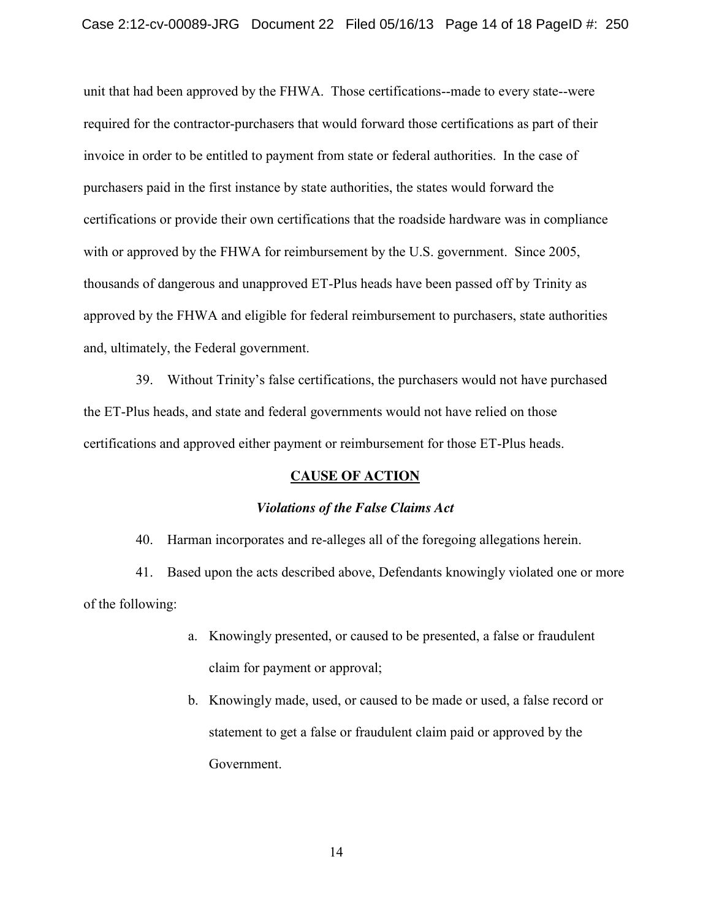unit that had been approved by the FHWA. Those certifications--made to every state--were required for the contractor-purchasers that would forward those certifications as part of their invoice in order to be entitled to payment from state or federal authorities. In the case of purchasers paid in the first instance by state authorities, the states would forward the certifications or provide their own certifications that the roadside hardware was in compliance with or approved by the FHWA for reimbursement by the U.S. government. Since 2005, thousands of dangerous and unapproved ET-Plus heads have been passed off by Trinity as approved by the FHWA and eligible for federal reimbursement to purchasers, state authorities and, ultimately, the Federal government.

39. Without Trinity's false certifications, the purchasers would not have purchased the ET-Plus heads, and state and federal governments would not have relied on those certifications and approved either payment or reimbursement for those ET-Plus heads.

### **CAUSE OF ACTION**

### *Violations of the False Claims Act*

40. Harman incorporates and re-alleges all of the foregoing allegations herein.

41. Based upon the acts described above, Defendants knowingly violated one or more of the following:

- a. Knowingly presented, or caused to be presented, a false or fraudulent claim for payment or approval;
- b. Knowingly made, used, or caused to be made or used, a false record or statement to get a false or fraudulent claim paid or approved by the Government.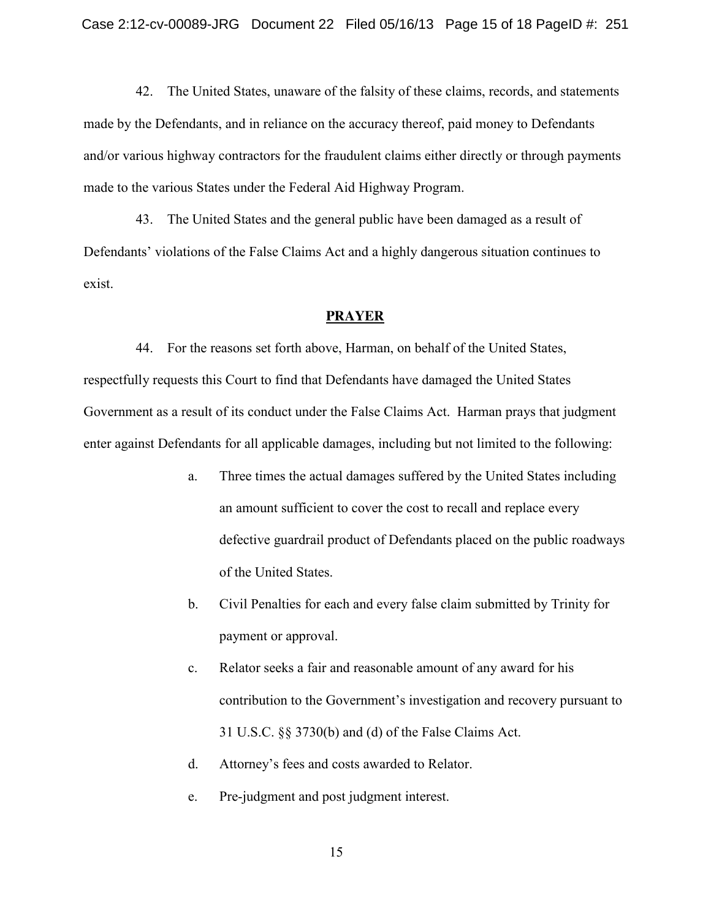42. The United States, unaware of the falsity of these claims, records, and statements made by the Defendants, and in reliance on the accuracy thereof, paid money to Defendants and/or various highway contractors for the fraudulent claims either directly or through payments made to the various States under the Federal Aid Highway Program.

43. The United States and the general public have been damaged as a result of Defendants' violations of the False Claims Act and a highly dangerous situation continues to exist.

#### **PRAYER**

44. For the reasons set forth above, Harman, on behalf of the United States, respectfully requests this Court to find that Defendants have damaged the United States Government as a result of its conduct under the False Claims Act. Harman prays that judgment enter against Defendants for all applicable damages, including but not limited to the following:

- a. Three times the actual damages suffered by the United States including an amount sufficient to cover the cost to recall and replace every defective guardrail product of Defendants placed on the public roadways of the United States.
- b. Civil Penalties for each and every false claim submitted by Trinity for payment or approval.
- c. Relator seeks a fair and reasonable amount of any award for his contribution to the Government's investigation and recovery pursuant to 31 U.S.C. §§ 3730(b) and (d) of the False Claims Act.
- d. Attorney's fees and costs awarded to Relator.
- e. Pre-judgment and post judgment interest.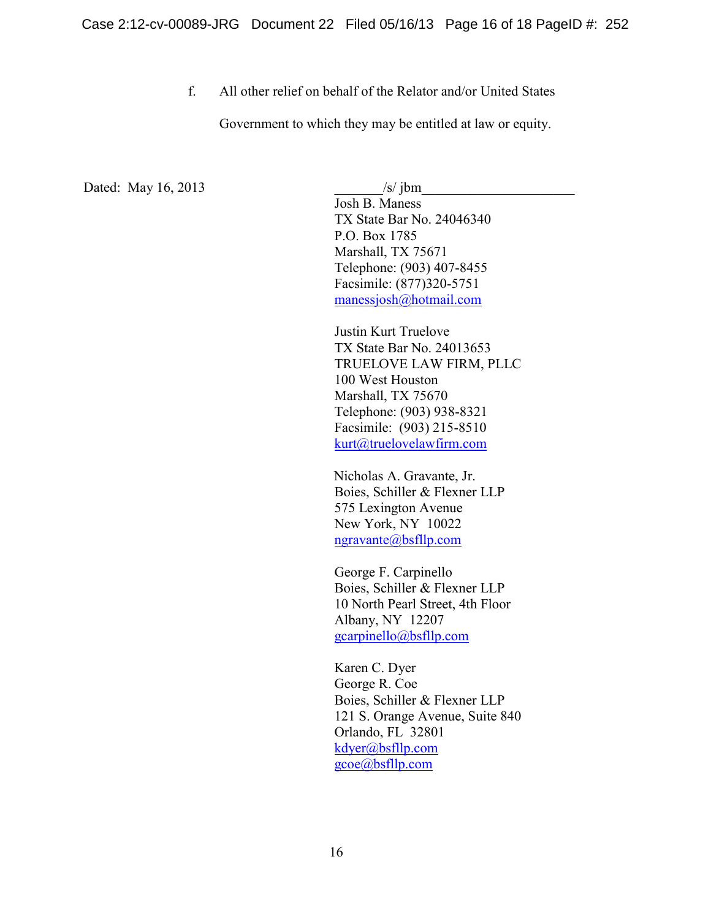f. All other relief on behalf of the Relator and/or United States

Government to which they may be entitled at law or equity.

Dated: May 16, 2013 /s/ jbm

Josh B. Maness TX State Bar No. 24046340 P.O. Box 1785 Marshall, TX 75671 Telephone: (903) 407-8455 Facsimile: (877)320-5751 manessjosh@hotmail.com

Justin Kurt Truelove TX State Bar No. 24013653 TRUELOVE LAW FIRM, PLLC 100 West Houston Marshall, TX 75670 Telephone: (903) 938-8321 Facsimile: (903) 215-8510 kurt@truelovelawfirm.com

 Nicholas A. Gravante, Jr. Boies, Schiller & Flexner LLP 575 Lexington Avenue New York, NY 10022 ngravante@bsfllp.com

George F. Carpinello Boies, Schiller & Flexner LLP 10 North Pearl Street, 4th Floor Albany, NY 12207 gcarpinello@bsfllp.com

Karen C. Dyer George R. Coe Boies, Schiller & Flexner LLP 121 S. Orange Avenue, Suite 840 Orlando, FL 32801 kdyer@bsfllp.com gcoe@bsfllp.com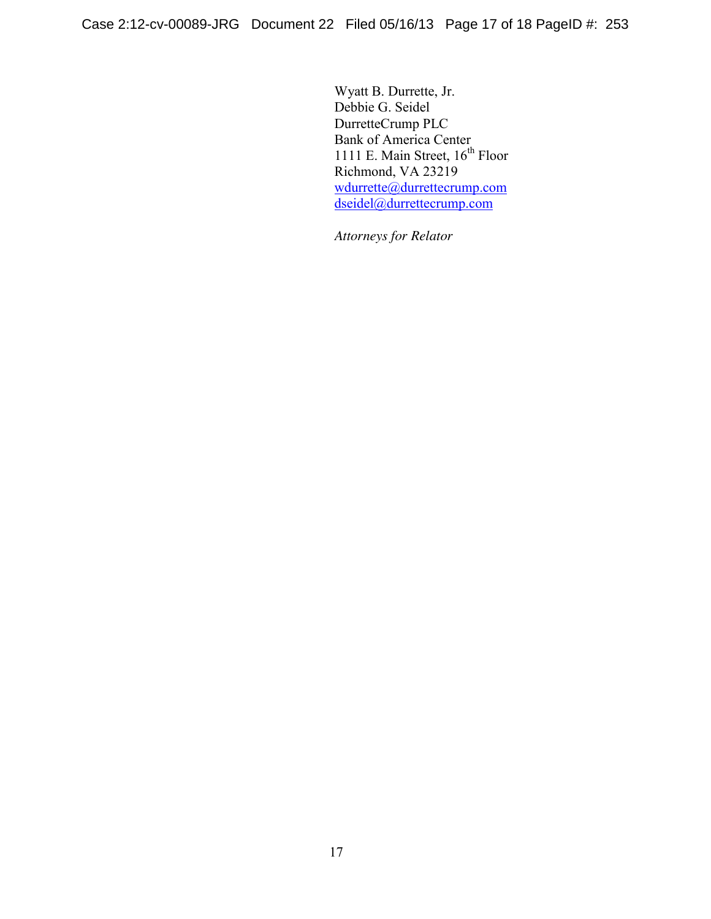Wyatt B. Durrette, Jr. Debbie G. Seidel DurretteCrump PLC Bank of America Center 1111 E. Main Street, 16<sup>th</sup> Floor Richmond, VA 23219 wdurrette@durrettecrump.com dseidel@durrettecrump.com

 *Attorneys for Relator*